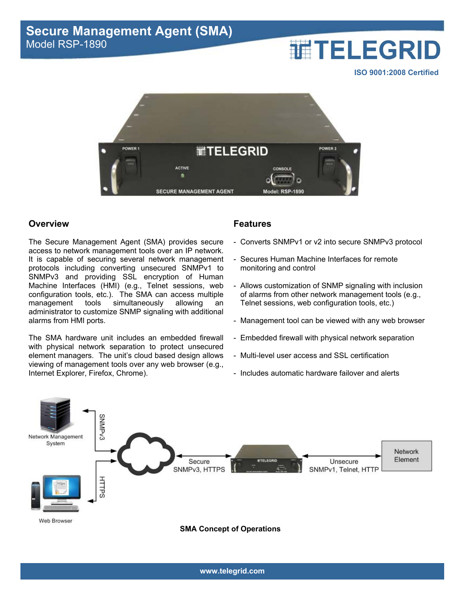# **THELEGRID**

**ISO 9001:2008 Certified**



## **Overview**

The Secure Management Agent (SMA) provides secure access to network management tools over an IP network. It is capable of securing several network management protocols including converting unsecured SNMPv1 to SNMPv3 and providing SSL encryption of Human Machine Interfaces (HMI) (e.g., Telnet sessions, web configuration tools, etc.). The SMA can access multiple management tools simultaneously allowing an administrator to customize SNMP signaling with additional alarms from HMI ports.

The SMA hardware unit includes an embedded firewall with physical network separation to protect unsecured element managers. The unit's cloud based design allows viewing of management tools over any web browser (e.g., Internet Explorer, Firefox, Chrome).

# **Features**

- Converts SNMPv1 or v2 into secure SNMPv3 protocol
- Secures Human Machine Interfaces for remote monitoring and control
- Allows customization of SNMP signaling with inclusion of alarms from other network management tools (e.g., Telnet sessions, web configuration tools, etc.)
- Management tool can be viewed with any web browser
- Embedded firewall with physical network separation
- Multi-level user access and SSL certification
- Includes automatic hardware failover and alerts